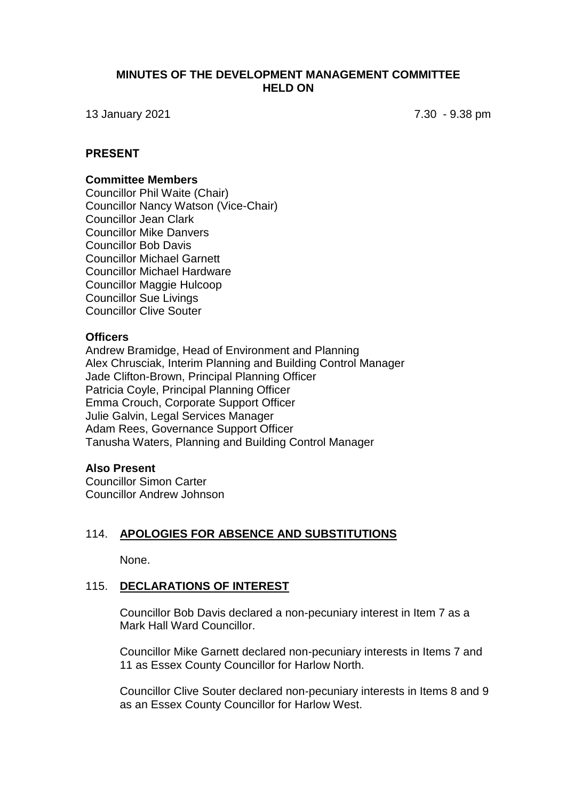### **MINUTES OF THE DEVELOPMENT MANAGEMENT COMMITTEE HELD ON**

13 January 2021 7.30 - 9.38 pm

# **PRESENT**

#### **Committee Members**

Councillor Phil Waite (Chair) Councillor Nancy Watson (Vice-Chair) Councillor Jean Clark Councillor Mike Danvers Councillor Bob Davis Councillor Michael Garnett Councillor Michael Hardware Councillor Maggie Hulcoop Councillor Sue Livings Councillor Clive Souter

#### **Officers**

Andrew Bramidge, Head of Environment and Planning Alex Chrusciak, Interim Planning and Building Control Manager Jade Clifton-Brown, Principal Planning Officer Patricia Coyle, Principal Planning Officer Emma Crouch, Corporate Support Officer Julie Galvin, Legal Services Manager Adam Rees, Governance Support Officer Tanusha Waters, Planning and Building Control Manager

#### **Also Present**

Councillor Simon Carter Councillor Andrew Johnson

#### 114. **APOLOGIES FOR ABSENCE AND SUBSTITUTIONS**

None.

### 115. **DECLARATIONS OF INTEREST**

Councillor Bob Davis declared a non-pecuniary interest in Item 7 as a Mark Hall Ward Councillor.

Councillor Mike Garnett declared non-pecuniary interests in Items 7 and 11 as Essex County Councillor for Harlow North.

Councillor Clive Souter declared non-pecuniary interests in Items 8 and 9 as an Essex County Councillor for Harlow West.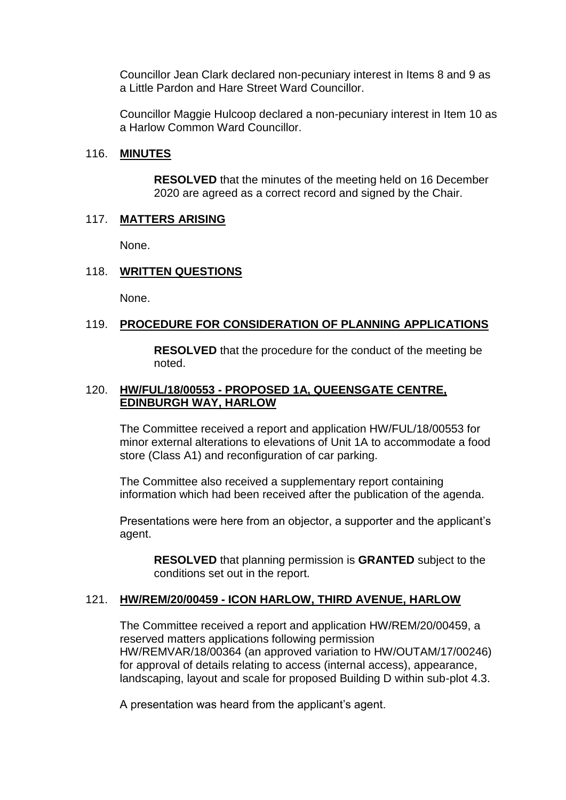Councillor Jean Clark declared non-pecuniary interest in Items 8 and 9 as a Little Pardon and Hare Street Ward Councillor.

Councillor Maggie Hulcoop declared a non-pecuniary interest in Item 10 as a Harlow Common Ward Councillor.

### 116. **MINUTES**

**RESOLVED** that the minutes of the meeting held on 16 December 2020 are agreed as a correct record and signed by the Chair.

### 117. **MATTERS ARISING**

None.

## 118. **WRITTEN QUESTIONS**

None.

### 119. **PROCEDURE FOR CONSIDERATION OF PLANNING APPLICATIONS**

**RESOLVED** that the procedure for the conduct of the meeting be noted.

## 120. **HW/FUL/18/00553 - PROPOSED 1A, QUEENSGATE CENTRE, EDINBURGH WAY, HARLOW**

The Committee received a report and application HW/FUL/18/00553 for minor external alterations to elevations of Unit 1A to accommodate a food store (Class A1) and reconfiguration of car parking.

The Committee also received a supplementary report containing information which had been received after the publication of the agenda.

Presentations were here from an objector, a supporter and the applicant's agent.

**RESOLVED** that planning permission is **GRANTED** subject to the conditions set out in the report.

## 121. **HW/REM/20/00459 - ICON HARLOW, THIRD AVENUE, HARLOW**

The Committee received a report and application HW/REM/20/00459, a reserved matters applications following permission HW/REMVAR/18/00364 (an approved variation to HW/OUTAM/17/00246) for approval of details relating to access (internal access), appearance, landscaping, layout and scale for proposed Building D within sub-plot 4.3.

A presentation was heard from the applicant's agent.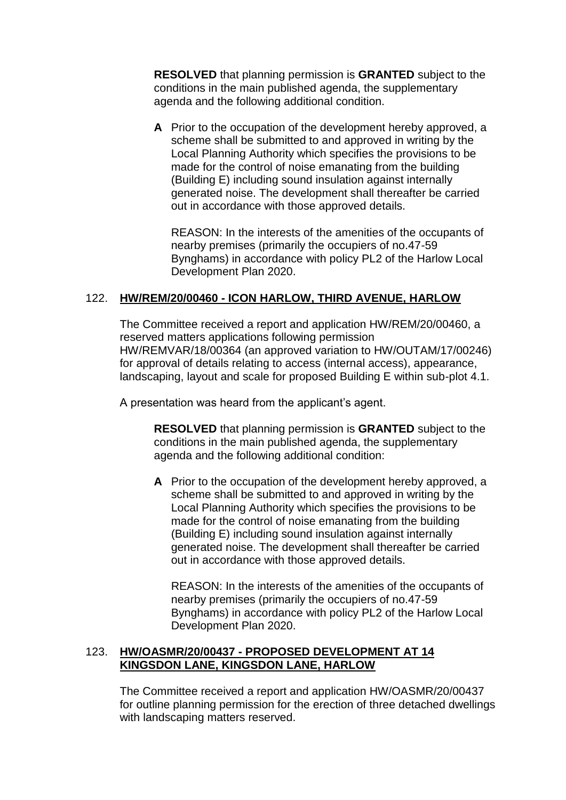**RESOLVED** that planning permission is **GRANTED** subject to the conditions in the main published agenda, the supplementary agenda and the following additional condition.

**A** Prior to the occupation of the development hereby approved, a scheme shall be submitted to and approved in writing by the Local Planning Authority which specifies the provisions to be made for the control of noise emanating from the building (Building E) including sound insulation against internally generated noise. The development shall thereafter be carried out in accordance with those approved details.

REASON: In the interests of the amenities of the occupants of nearby premises (primarily the occupiers of no.47-59 Bynghams) in accordance with policy PL2 of the Harlow Local Development Plan 2020.

# 122. **HW/REM/20/00460 - ICON HARLOW, THIRD AVENUE, HARLOW**

The Committee received a report and application HW/REM/20/00460, a reserved matters applications following permission HW/REMVAR/18/00364 (an approved variation to HW/OUTAM/17/00246) for approval of details relating to access (internal access), appearance, landscaping, layout and scale for proposed Building E within sub-plot 4.1.

A presentation was heard from the applicant's agent.

**RESOLVED** that planning permission is **GRANTED** subject to the conditions in the main published agenda, the supplementary agenda and the following additional condition:

**A** Prior to the occupation of the development hereby approved, a scheme shall be submitted to and approved in writing by the Local Planning Authority which specifies the provisions to be made for the control of noise emanating from the building (Building E) including sound insulation against internally generated noise. The development shall thereafter be carried out in accordance with those approved details.

REASON: In the interests of the amenities of the occupants of nearby premises (primarily the occupiers of no.47-59 Bynghams) in accordance with policy PL2 of the Harlow Local Development Plan 2020.

## 123. **HW/OASMR/20/00437 - PROPOSED DEVELOPMENT AT 14 KINGSDON LANE, KINGSDON LANE, HARLOW**

The Committee received a report and application HW/OASMR/20/00437 for outline planning permission for the erection of three detached dwellings with landscaping matters reserved.